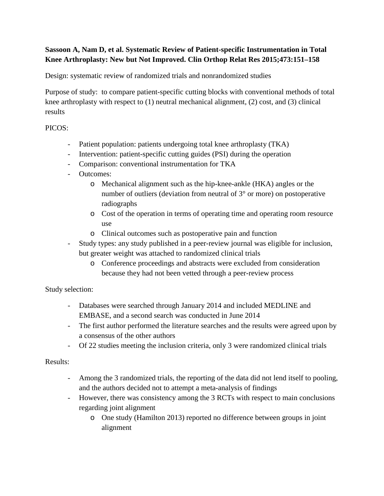# **Sassoon A, Nam D, et al. Systematic Review of Patient-specific Instrumentation in Total Knee Arthroplasty: New but Not Improved. Clin Orthop Relat Res 2015;473:151–158**

Design: systematic review of randomized trials and nonrandomized studies

Purpose of study: to compare patient-specific cutting blocks with conventional methods of total knee arthroplasty with respect to  $(1)$  neutral mechanical alignment,  $(2)$  cost, and  $(3)$  clinical results

### PICOS:

- Patient population: patients undergoing total knee arthroplasty (TKA)
- Intervention: patient-specific cutting guides (PSI) during the operation
- Comparison: conventional instrumentation for TKA
- Outcomes:
	- o Mechanical alignment such as the hip-knee-ankle (HKA) angles or the number of outliers (deviation from neutral of 3° or more) on postoperative radiographs
	- o Cost of the operation in terms of operating time and operating room resource use
	- o Clinical outcomes such as postoperative pain and function
- Study types: any study published in a peer-review journal was eligible for inclusion, but greater weight was attached to randomized clinical trials
	- o Conference proceedings and abstracts were excluded from consideration because they had not been vetted through a peer-review process

# Study selection:

- Databases were searched through January 2014 and included MEDLINE and EMBASE, and a second search was conducted in June 2014
- The first author performed the literature searches and the results were agreed upon by a consensus of the other authors
- Of 22 studies meeting the inclusion criteria, only 3 were randomized clinical trials

# Results:

- Among the 3 randomized trials, the reporting of the data did not lend itself to pooling, and the authors decided not to attempt a meta-analysis of findings
- However, there was consistency among the 3 RCTs with respect to main conclusions regarding joint alignment
	- o One study (Hamilton 2013) reported no difference between groups in joint alignment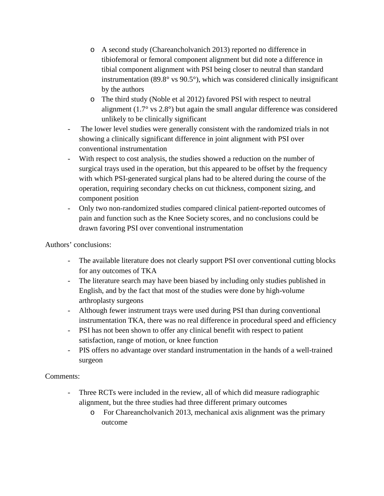- o A second study (Chareancholvanich 2013) reported no difference in tibiofemoral or femoral component alignment but did note a difference in tibial component alignment with PSI being closer to neutral than standard instrumentation (89.8° vs 90.5°), which was considered clinically insignificant by the authors
- o The third study (Noble et al 2012) favored PSI with respect to neutral alignment (1.7° vs 2.8°) but again the small angular difference was considered unlikely to be clinically significant
- The lower level studies were generally consistent with the randomized trials in not showing a clinically significant difference in joint alignment with PSI over conventional instrumentation
- With respect to cost analysis, the studies showed a reduction on the number of surgical trays used in the operation, but this appeared to be offset by the frequency with which PSI-generated surgical plans had to be altered during the course of the operation, requiring secondary checks on cut thickness, component sizing, and component position
- Only two non-randomized studies compared clinical patient-reported outcomes of pain and function such as the Knee Society scores, and no conclusions could be drawn favoring PSI over conventional instrumentation

Authors' conclusions:

- The available literature does not clearly support PSI over conventional cutting blocks for any outcomes of TKA
- The literature search may have been biased by including only studies published in English, and by the fact that most of the studies were done by high-volume arthroplasty surgeons
- Although fewer instrument trays were used during PSI than during conventional instrumentation TKA, there was no real difference in procedural speed and efficiency
- PSI has not been shown to offer any clinical benefit with respect to patient satisfaction, range of motion, or knee function
- PIS offers no advantage over standard instrumentation in the hands of a well-trained surgeon

#### Comments:

- Three RCTs were included in the review, all of which did measure radiographic alignment, but the three studies had three different primary outcomes
	- o For Chareancholvanich 2013, mechanical axis alignment was the primary outcome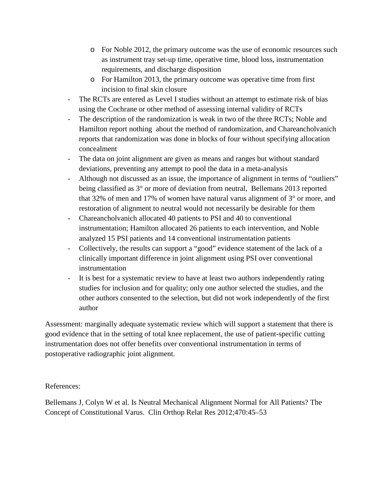- o For Noble 2012, the primary outcome was the use of economic resources such as instrument tray set-up time, operative time, blood loss, instrumentation requirements, and discharge disposition
- o For Hamilton 2013, the primary outcome was operative time from first incision to final skin closure
- The RCTs are entered as Level I studies without an attempt to estimate risk of bias using the Cochrane or other method of assessing internal validity of RCTs
- The description of the randomization is weak in two of the three RCTs; Noble and Hamilton report nothing about the method of randomization, and Chareancholvanich reports that randomization was done in blocks of four without specifying allocation concealment
- The data on joint alignment are given as means and ranges but without standard deviations, preventing any attempt to pool the data in a meta-analysis
- Although not discussed as an issue, the importance of alignment in terms of "outliers" being classified as 3° or more of deviation from neutral, Bellemans 2013 reported that 32% of men and 17% of women have natural varus alignment of 3° or more, and restoration of alignment to neutral would not necessarily be desirable for them
- Chareancholvanich allocated 40 patients to PSI and 40 to conventional instrumentation; Hamilton allocated 26 patients to each intervention, and Noble analyzed 15 PSI patients and 14 conventional instrumentation patients
- Collectively, the results can support a "good" evidence statement of the lack of a clinically important difference in joint alignment using PSI over conventional instrumentation
- It is best for a systematic review to have at least two authors independently rating studies for inclusion and for quality; only one author selected the studies, and the other authors consented to the selection, but did not work independently of the first author

Assessment: marginally adequate systematic review which will support a statement that there is good evidence that in the setting of total knee replacement, the use of patient-specific cutting instrumentation does not offer benefits over conventional instrumentation in terms of postoperative radiographic joint alignment.

#### References:

Bellemans J, Colyn W et al. Is Neutral Mechanical Alignment Normal for All Patients? The Concept of Constitutional Varus. Clin Orthop Relat Res 2012;470:45–53